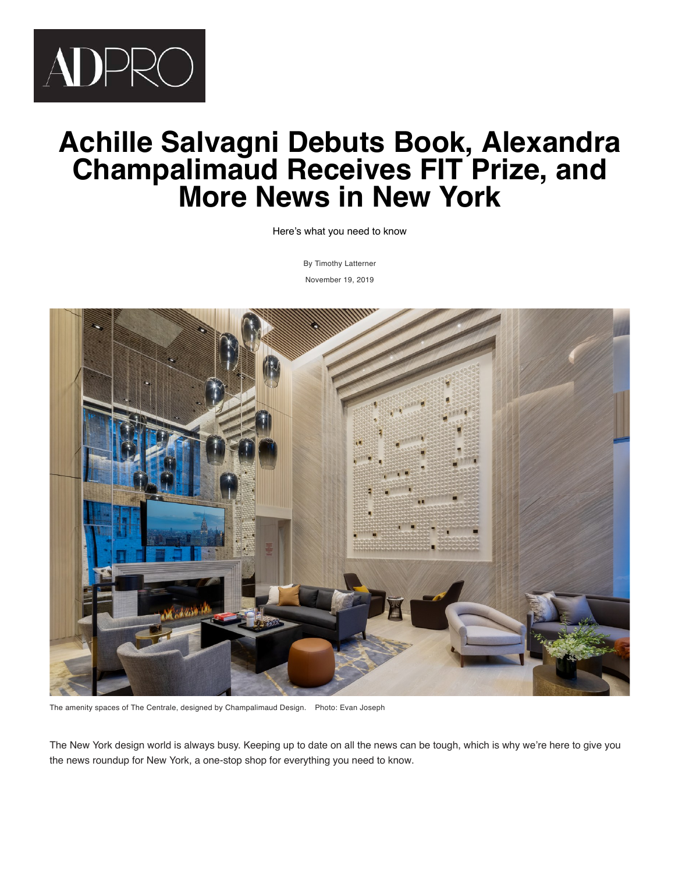

# **Achille Salvagni Debuts Book, Alexandra Champalimaud Receives FIT Prize, and More News in New York**

Here's what you need to know

[By](https://www.facebook.com/dialog/feed?&display=popup&caption=Achille%20Salvagni%20Debuts%20Book%2C%20Alexandra%20Champalimaud%20Receives%20FIT%20Prize%2C%20and%20More%20News%20in%20New%20York&app_id=267091300008193&link=https%3A%2F%2Fwww.architecturaldigest.com%2Fstory%2Fachille-salvagni-debuts-book-alexandra-champalimaud-receives-fit-prize-and-more-news-in-new-york%3Futm_source%3Dfacebook%26utm_medium%3Dsocial%26utm_campaign%3Donsite-share%26utm_brand%3Darchitectural-digest%26utm_social-type%3Dearned) [Timothy Latterne](https://www.architecturaldigest.com/contributor/timothy-latterner)[r](mailto:?subject=Achille%20Salvagni%20Debuts%20Book%2C%20Alexandra%20Champalimaud%20Receives%20FIT%20Prize%2C%20and%20More%20News%20in%20New%20York&body=https%3A%2F%2Fwww.architecturaldigest.com%2Fstory%2Fachille-salvagni-debuts-book-alexandra-champalimaud-receives-fit-prize-and-more-news-in-new-york%3Futm_source%3Donsite-share%26utm_medium%3Demail%26utm_campaign%3Donsite-share%26utm_brand%3Darchitectural-digest) November 19, 2019



The amenity spaces of The Centrale, designed by Champalimaud Design. Photo: Evan Joseph

The New York design world is always busy. Keeping up to date on all the news can be tough, which is why we're here to give you the news roundup for New York, a one-stop shop for everything you need to know.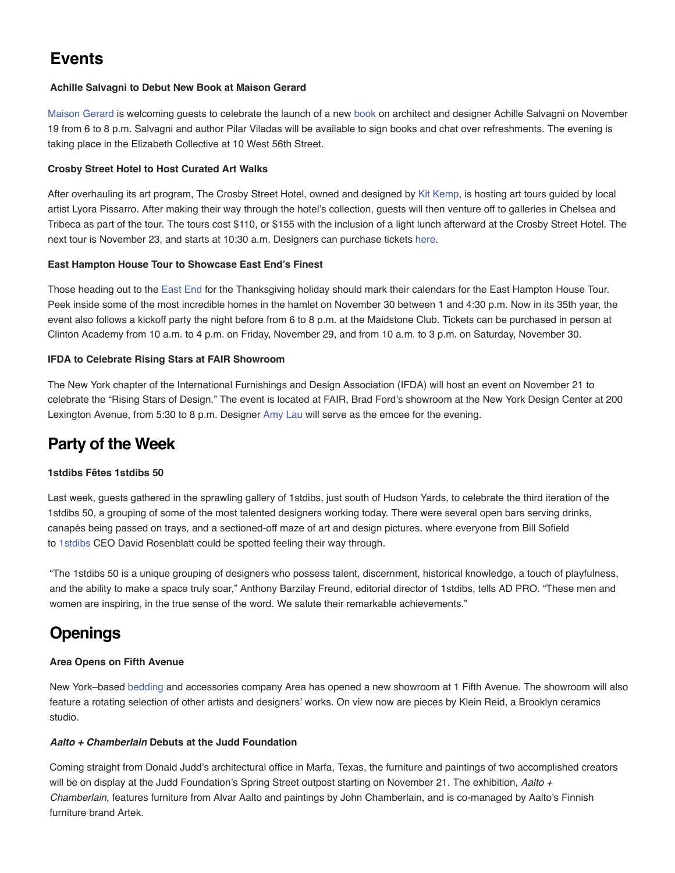# **Events**

#### **Achille Salvagni to Debut New Book at Maison Gerard**

[Maison Gerard](https://www.architecturaldigest.com/gallery/maison-gerard-celebrates-achille-salvagni) is welcoming guests to celebrate the launch of a new [book](https://www.architecturaldigest.com/story/best-new-interior-design-books-fall-2019) on architect and designer Achille Salvagni on November 19 from 6 to 8 p.m. Salvagni and author Pilar Viladas will be available to sign books and chat over refreshments. The evening is taking place in the Elizabeth Collective at 10 West 56th Street.

#### **Crosby Street Hotel to Host Curated Art Walks**

After overhauling its art program, The Crosby Street Hotel, owned and designed by [Kit Kemp](https://www.architecturaldigest.com/story/kit-kemps-new-book-design-thread-color-collecting), is hosting art tours guided by local artist Lyora Pissarro. After making their way through the hotel's collection, guests will then venture off to galleries in Chelsea and Tribeca as part of the tour. The tours cost \$110, or \$155 with the inclusion of a light lunch afterward at the Crosby Street Hotel. The next tour is November 23, and starts at 10:30 a.m. Designers can purchase tickets [here](https://www.firmdalehotels.com/hotels/new-york/crosby-street-hotel/firmdale-art-walks/).

#### **East Hampton House Tour to Showcase East End's Finest**

Those heading out to the [East End](https://www.architecturaldigest.com/story/classic-east-hampton-home-with-modern-colorful-twist) for the Thanksgiving holiday should mark their calendars for the East Hampton House Tour. Peek inside some of the most incredible homes in the hamlet on November 30 between 1 and 4:30 p.m. Now in its 35th year, the event also follows a kickoff party the night before from 6 to 8 p.m. at the Maidstone Club. Tickets can be purchased in person at Clinton Academy from 10 a.m. to 4 p.m. on Friday, November 29, and from 10 a.m. to 3 p.m. on Saturday, November 30.

#### **IFDA to Celebrate Rising Stars at FAIR Showroom**

The New York chapter of the International Furnishings and Design Association (IFDA) will host an event on November 21 to celebrate the "Rising Stars of Design." The event is located at FAIR, Brad Ford's showroom at the New York Design Center at 200 Lexington Avenue, from 5:30 to 8 p.m. Designer [Amy Lau](https://www.architecturaldigest.com/story/what-would-amy-lau-and-ed-bakos-design-on-or-along-the-hudson-river) will serve as the emcee for the evening.

# **Party of the Week**

#### **1stdibs Fêtes 1stdibs 50**

Last week, guests gathered in the sprawling gallery of 1stdibs, just south of Hudson Yards, to celebrate the third iteration of the 1stdibs 50, a grouping of some of the most talented designers working today. There were several open bars serving drinks, canapés being passed on trays, and a sectioned-off maze of art and design pictures, where everyone from Bill Sofield to [1stdibs](https://www.architecturaldigest.com/story/whats-happening-to-dealer-names-on-1stdibs) CEO David Rosenblatt could be spotted feeling their way through.

"The 1stdibs 50 is a unique grouping of designers who possess talent, discernment, historical knowledge, a touch of playfulness, and the ability to make a space truly soar," Anthony Barzilay Freund, editorial director of 1stdibs, tells AD PRO. "These men and women are inspiring, in the true sense of the word. We salute their remarkable achievements."

# **Openings**

#### **Area Opens on Fifth Avenue**

New York–based [bedding](https://www.architecturaldigest.com/topic/bedding) and accessories company Area has opened a new showroom at 1 Fifth Avenue. The showroom will also feature a rotating selection of other artists and designers' works. On view now are pieces by Klein Reid, a Brooklyn ceramics studio.

#### *Aalto + Chamberlain* **Debuts at the Judd Foundation**

Coming straight from Donald Judd's architectural office in Marfa, Texas, the furniture and paintings of two accomplished creators will be on display at the Judd Foundation's Spring Street outpost starting on November 21. The exhibition, *Aalto + Chamberlain,* features furniture from Alvar Aalto and paintings by John Chamberlain, and is co-managed by Aalto's Finnish furniture brand Artek.